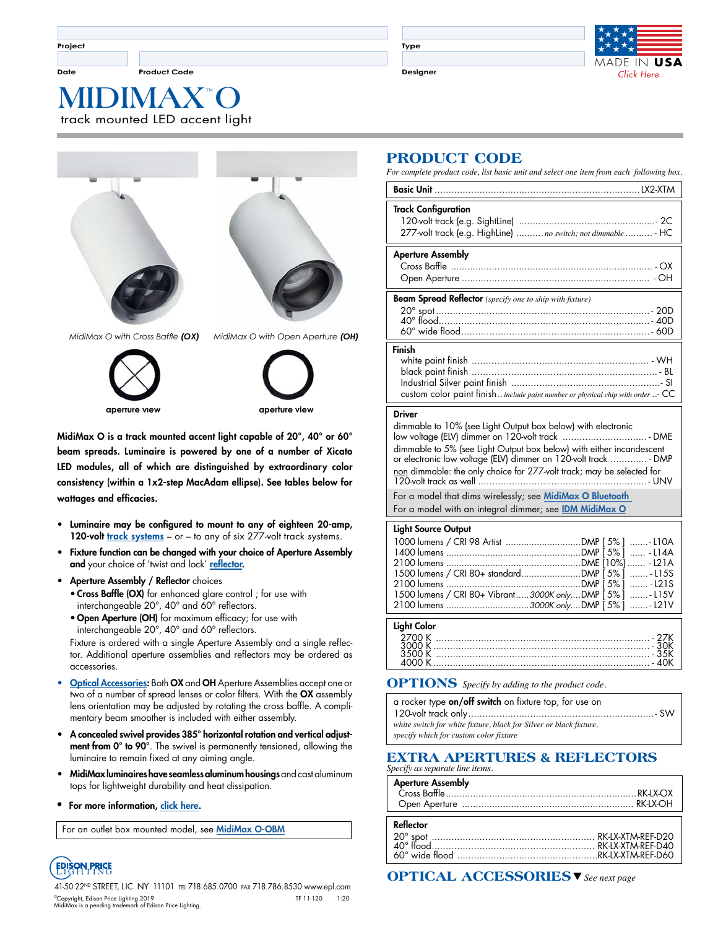**Date Product Code Designer**

**Type**



 **™ MIDIMAX O** track mounted LED accent light



*MidiMax O with Cross Baffle (OX) MidiMax O with Open Aperture (OH)*



**aperture view**

MidiMax O is a track mounted accent light capable of 20°, 40° or 60° beam spreads. Luminaire is powered by one of a number of Xicato LED modules, all of which are distinguished by extraordinary color consistency (within a 1x2-step MacAdam ellipse). See tables below for wattages and efficacies.

- Luminaire may be configured to mount to any of eighteen 20-amp, 120-volt [track systems](http://www.epl.com/browse/?category=5) – or – to any of six 277-volt [track systems.](http://www.epl.com/browse/?category=5)
- Fixture function can be changed with your choice of Aperture Assembly and your choice of 'twist and lock' [reflector](http://www.epl.com/products/reflectors/).
- Aperture Assembly / Reflector choices • Cross Baffle (OX) for enhanced glare control ; for use with
	- interchangeable 20°, 40° and 60° reflectors. • Open Aperture (OH) for maximum efficacy; for use with
	- interchangeable 20°, 40° and 60° reflectors.

Fixture is ordered with a single Aperture Assembly and a single reflector. Additional aperture assemblies and reflectors may be ordered as accessories.

- **[Optical Accessories](http://www.epl.com/optical-accessories):** Both OX and OH Aperture Assemblies accept one or two of a number of spread lenses or color filters. With the OX assembly lens orientation may be adjusted by rotating the cross baffle. A complimentary beam smoother is included with either assembly.
- A concealed swivel provides 385° horizontal rotation and vertical adjustment from 0° to 90°. The swivel is permanently tensioned, allowing the luminaire to remain fixed at any aiming angle.
- MidiMax luminaires have seamless aluminum housings and cast aluminum tops for lightweight durability and heat dissipation.
- For more information, [click here](http://www.epl.com/products/894/).

For an outlet box mounted model, see [MidiMax O-OBM](https://www.epl.com/products/1024/)



41-50 22ND STREET, LIC NY 11101 tel 718.685.0700 fax 718.786.8530 www.epl.com ©Copyright, Edison Price Lighting 2019 TF 11-120 1:20 MidiMax is a pending trademark of Edison Price Lighting.

# **PRODUCT CODE**

*For complete product code, list basic unit and select one item from each following box.*

| <b>Track Configuration</b><br>277-volt track (e.g. HighLine)  no switch; not dimmable  - HC |
|---------------------------------------------------------------------------------------------|
|                                                                                             |
| <b>Aperture Assembly</b>                                                                    |
|                                                                                             |
| <b>Beam Spread Reflector</b> (specify one to ship with fixture)                             |
|                                                                                             |
| Finish                                                                                      |
|                                                                                             |

#### Driver

dimmable to 10% (see Light Output box below) with electronic low voltage (ELV) dimmer on 120-volt track .............................. - DME dimmable to 5% (see Light Output box below) with either incandescent or electronic low voltage (ELV) dimmer on 120-volt track ............. - DMP non dimmable: the only choice for 277-volt track; may be selected for 120-volt track as well ............................................................- UNV For a model that dims wirelessly; see MidiMax O Bluetooth For a model with an integral dimmer; see **[IDM MidiMax O](http://www.epl.com/products/894/)** 

#### Light Source Output

| لمحاجة فطمئنا                                          |  |  |
|--------------------------------------------------------|--|--|
|                                                        |  |  |
| 2100 lumens 3000K onlyDMP [5%]  - L21V                 |  |  |
|                                                        |  |  |
| 1500 lumens / CRI 80+ Vibrant3000K onlyDMP [5%] - L15V |  |  |
|                                                        |  |  |
|                                                        |  |  |
|                                                        |  |  |
|                                                        |  |  |
|                                                        |  |  |
|                                                        |  |  |
| 1000 lumens / CRI 98 Artist DMP [5%] -L10A             |  |  |
|                                                        |  |  |

#### **OPTIONS** *Specify by adding to the product code.*

| a rocker type on/off switch on fixture top, for use on             |  |  |  |  |
|--------------------------------------------------------------------|--|--|--|--|
|                                                                    |  |  |  |  |
| white switch for white fixture, black for Silver or black fixture, |  |  |  |  |
| specify which for custom color fixture                             |  |  |  |  |

#### **EXTRA APERTURES & REFLECTORS** *Specify as separate line items.*

| <b>Aperture Assembly</b> |  |
|--------------------------|--|
|                          |  |
|                          |  |
|                          |  |

| Reflector |  |
|-----------|--|
|           |  |
|           |  |

s **OPTICAL ACCESSORIES** *See next page*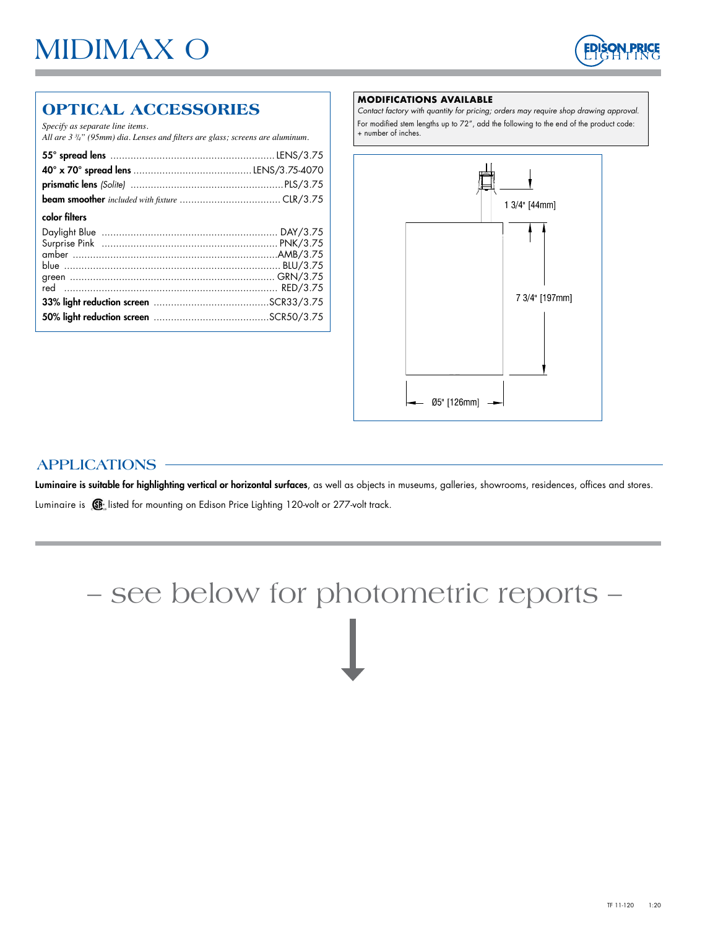

# **OPTICAL ACCESSORIES**

*Specify as separate line items.* 

*All are 3 3 /4" (95mm) dia. Lenses and filters are glass; screens are aluminum.*

| color filters |  |
|---------------|--|
|               |  |
|               |  |

#### **MODIFICATIONS AVAILABLE**

*Contact factory with quantity for pricing; orders may require shop drawing approval.* For modified stem lengths up to 72", add the following to the end of the product code: + number of inches.



# **APPLICATIONS**

Luminaire is suitable for highlighting vertical or horizontal surfaces, as well as objects in museums, galleries, showrooms, residences, offices and stores. Luminaire is  $\mathbb{G}$  listed for mounting on Edison Price Lighting 120-volt or 277-volt track.

# – see below for photometric reports –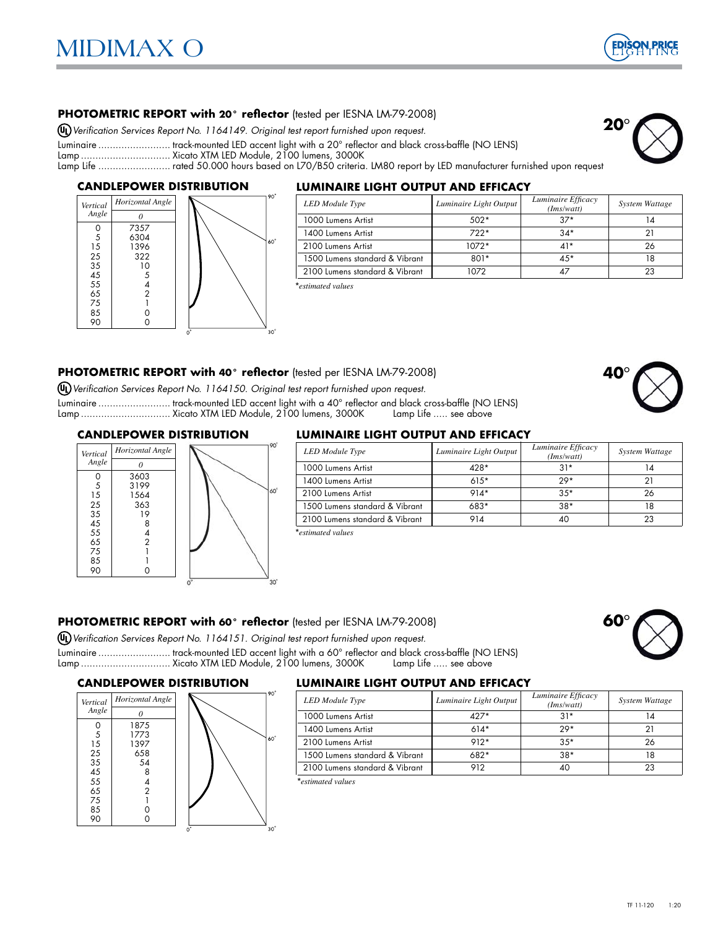

**20**°

#### **PHOTOMETRIC REPORT with 20° reflector** (tested per IESNA LM-79-2008)

*Verification Services Report No. 1164149. Original test report furnished upon request.*

Luminaire .......................... track-mounted LED accent light with a 20° reflector and black cross-baffle (NO LENS)

Lamp ............................... Xicato XTM LED Module, 2100 lumens, 3000K

Lamp Life ......................... rated 50.000 hours based on L70/B50 criteria. LM80 report by LED manufacturer furnished upon request

#### **CANDLEPOWER DISTRIBUTION**



#### **LUMINAIRE LIGHT OUTPUT AND EFFICACY**

| <b>LED</b> Module Type         | Luminaire Light Output | Luminaire Efficacy<br>(Ims/watt) | System Wattage |
|--------------------------------|------------------------|----------------------------------|----------------|
| 1000 Lumens Artist             | $.502*$                | $37*$                            |                |
| 1400 Lumens Artist             | $722*$                 | $34*$                            |                |
| 2100 Lumens Artist             | $1072*$                | $41*$                            | 26             |
| 1500 Lumens standard & Vibrant | $801*$                 | 45*                              |                |
| 2100 Lumens standard & Vibrant | 1072                   |                                  |                |

\**estimated values*

#### **PHOTOMETRIC REPORT with 40° reflector** (tested per IESNA LM-79-2008)

*Verification Services Report No. 1164150. Original test report furnished upon request.*

Luminaire ......................... track-mounted LED accent light with a 40° reflector and black cross-baffle (NO LENS) Lamp .................................. Xicato XTM LED Module, 2100 lumens, 3000K

#### **CANDLEPOWER DISTRIBUTION**



#### **LUMINAIRE LIGHT OUTPUT AND EFFICACY**

| Vertical | Horizontal Angle |  |               | <b>LED</b> Module Type         | Luminaire Light Output | Luminaire Efficacy<br>(Ims/watt) | System Wattage |
|----------|------------------|--|---------------|--------------------------------|------------------------|----------------------------------|----------------|
| Angle    |                  |  |               | 1000 Lumens Artist             | 428*                   | $31*$                            |                |
|          | 3603<br>3199     |  |               | 1400 Lumens Artist             | $615*$                 | $29*$                            |                |
|          | 564              |  | $160^{\circ}$ | 2100 Lumens Artist             | $914*$                 | $35*$                            | 26             |
| 25       | 363              |  |               | 1500 Lumens standard & Vibrant | 683*                   | $38*$                            |                |
| 35<br>45 |                  |  |               | 2100 Lumens standard & Vibrant | 914                    | 40                               | 23             |
|          |                  |  |               |                                |                        |                                  |                |

\**estimated values*

#### **PHOTOMETRIC REPORT with 60° reflector** (tested per IESNA LM-79-2008)

*Verification Services Report No. 1164151. Original test report furnished upon request.*

Luminaire ......................... track-mounted LED accent light with a 60° reflector and black cross-baffle (NO LENS) Lamp ................................. Xicato XTM LED Module, 2100 lumens, 3000K

#### **CANDLEPOWER DISTRIBUTION**



#### **LUMINAIRE LIGHT OUTPUT AND EFFICACY**

| Horizontal Angle |      | <b>LED</b> Module Type         | Luminaire Light Output | Luminaire Efficacy<br>(Ims/watt) | System Wattage |
|------------------|------|--------------------------------|------------------------|----------------------------------|----------------|
|                  |      | 1000 Lumens Artist             | $427*$                 | $31*$                            |                |
| 1875<br>1773     |      | 1400 Lumens Artist             | $614*$                 | $29*$                            |                |
| 1397             | 160° | 2100 Lumens Artist             | $912*$                 | $35*$                            | 26             |
| 658              |      | 1500 Lumens standard & Vibrant | $682*$                 | $38*$                            |                |
| 54               |      | 2100 Lumens standard & Vibrant | 912                    | 4C                               | 23             |

\**estimated values*